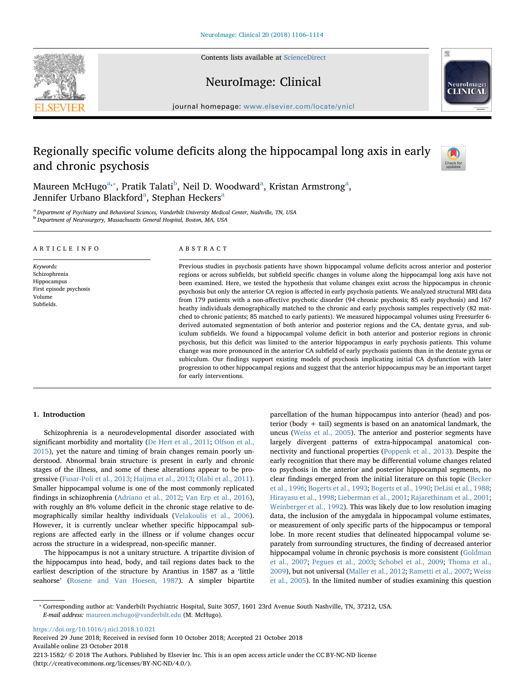Contents lists available at [ScienceDirect](http://www.sciencedirect.com/science/journal/22131582)





# NeuroImage: Clinical

journal homepage: [www.elsevier.com/locate/ynicl](https://www.elsevier.com/locate/ynicl)

# Regionally specific volume deficits along the hippocampal long axis in early and chronic psychosis



M[a](#page-0-0)ureen McHugo $^{\mathrm{a},*}$ , Pratik Talati $^{\mathrm{b}}$  $^{\mathrm{b}}$  $^{\mathrm{b}}$ , Neil D. Woodward $^{\mathrm{a}}$ , Kristan Armstrong $^{\mathrm{a}},$ Jennifer Urb[a](#page-0-0)no Blackford<sup>a</sup>, Stephan Heckers<sup>a</sup>

<span id="page-0-2"></span><span id="page-0-0"></span><sup>a</sup> Department of Psychiatry and Behavioral Sciences, Vanderbilt University Medical Center, Nashville, TN, USA <sup>b</sup> Department of Neurosurgery, Massachusetts General Hospital, Boston, MA, USA

### ARTICLE INFO

Keywords: Schizophrenia Hippocampus First episode psychosis Volume Subfields.

## ABSTRACT

Previous studies in psychosis patients have shown hippocampal volume deficits across anterior and posterior regions or across subfields, but subfield specific changes in volume along the hippocampal long axis have not been examined. Here, we tested the hypothesis that volume changes exist across the hippocampus in chronic psychosis but only the anterior CA region is affected in early psychosis patients. We analyzed structural MRI data from 179 patients with a non-affective psychotic disorder (94 chronic psychosis; 85 early psychosis) and 167 heathy individuals demographically matched to the chronic and early psychosis samples respectively (82 matched to chronic patients; 85 matched to early patients). We measured hippocampal volumes using Freesurfer 6 derived automated segmentation of both anterior and posterior regions and the CA, dentate gyrus, and subiculum subfields. We found a hippocampal volume deficit in both anterior and posterior regions in chronic psychosis, but this deficit was limited to the anterior hippocampus in early psychosis patients. This volume change was more pronounced in the anterior CA subfield of early psychosis patients than in the dentate gyrus or subiculum. Our findings support existing models of psychosis implicating initial CA dysfunction with later progression to other hippocampal regions and suggest that the anterior hippocampus may be an important target for early interventions.

### 1. Introduction

Schizophrenia is a neurodevelopmental disorder associated with significant morbidity and mortality [\(De Hert et al., 2011;](#page-6-0) [Olfson et al.,](#page-7-0) [2015\)](#page-7-0), yet the nature and timing of brain changes remain poorly understood. Abnormal brain structure is present in early and chronic stages of the illness, and some of these alterations appear to be progressive ([Fusar-Poli et al., 2013;](#page-6-1) [Haijma et al., 2013;](#page-6-2) [Olabi et al., 2011](#page-7-1)). Smaller hippocampal volume is one of the most commonly replicated findings in schizophrenia [\(Adriano et al., 2012;](#page-6-3) [Van Erp et al., 2016](#page-6-4)), with roughly an 8% volume deficit in the chronic stage relative to demographically similar healthy individuals [\(Velakoulis et al., 2006](#page-7-2)). However, it is currently unclear whether specific hippocampal subregions are affected early in the illness or if volume changes occur across the structure in a widespread, non-specific manner.

The hippocampus is not a unitary structure. A tripartite division of the hippocampus into head, body, and tail regions dates back to the earliest description of the structure by Arantius in 1587 as a 'little seahorse' [\(Rosene and Van Hoesen, 1987\)](#page-7-3). A simpler bipartite

parcellation of the human hippocampus into anterior (head) and posterior (body + tail) segments is based on an anatomical landmark, the uncus [\(Weiss et al., 2005](#page-7-4)). The anterior and posterior segments have largely divergent patterns of extra-hippocampal anatomical connectivity and functional properties ([Poppenk et al., 2013\)](#page-7-5). Despite the early recognition that there may be differential volume changes related to psychosis in the anterior and posterior hippocampal segments, no clear findings emerged from the initial literature on this topic ([Becker](#page-6-5) [et al., 1996;](#page-6-5) [Bogerts et al., 1993](#page-6-6); [Bogerts et al., 1990;](#page-6-7) [DeLisi et al., 1988](#page-6-8); [Hirayasu et al., 1998](#page-6-9); [Lieberman et al., 2001](#page-7-6); [Rajarethinam et al., 2001](#page-7-7); [Weinberger et al., 1992\)](#page-7-8). This was likely due to low resolution imaging data, the inclusion of the amygdala in hippocampal volume estimates, or measurement of only specific parts of the hippocampus or temporal lobe. In more recent studies that delineated hippocampal volume separately from surrounding structures, the finding of decreased anterior hippocampal volume in chronic psychosis is more consistent ([Goldman](#page-6-10) [et al., 2007;](#page-6-10) [Pegues et al., 2003](#page-7-9); [Schobel et al., 2009](#page-7-10); [Thoma et al.,](#page-7-11) [2009\)](#page-7-11), but not universal [\(Maller et al., 2012](#page-7-12); [Rametti et al., 2007](#page-7-13); [Weiss](#page-7-4) [et al., 2005](#page-7-4)). In the limited number of studies examining this question

<https://doi.org/10.1016/j.nicl.2018.10.021>

Received 29 June 2018; Received in revised form 10 October 2018; Accepted 21 October 2018 Available online 23 October 2018 2213-1582/ © 2018 The Authors. Published by Elsevier Inc. This is an open access article under the CC BY-NC-ND license (http://creativecommons.org/licenses/BY-NC-ND/4.0/).

<span id="page-0-1"></span><sup>⁎</sup> Corresponding author at: Vanderbilt Psychiatric Hospital, Suite 3057, 1601 23rd Avenue South Nashville, TN, 37212, USA. E-mail address: [maureen.mchugo@vanderbilt.edu](mailto:maureen.mchugo@vanderbilt.edu) (M. McHugo).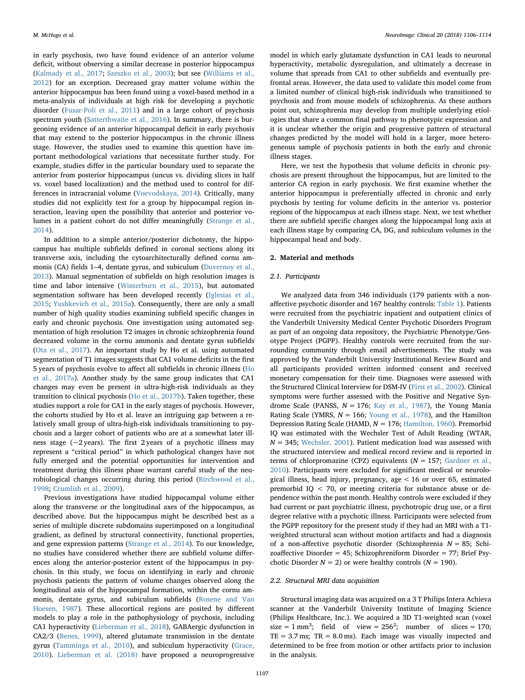in early psychosis, two have found evidence of an anterior volume deficit, without observing a similar decrease in posterior hippocampus ([Kalmady et al., 2017](#page-7-14); [Szeszko et al., 2003\)](#page-7-15); but see ([Williams et al.,](#page-7-16) [2012\)](#page-7-16) for an exception. Decreased gray matter volume within the anterior hippocampus has been found using a voxel-based method in a meta-analysis of individuals at high risk for developing a psychotic disorder [\(Fusar-Poli et al., 2011](#page-6-11)) and in a large cohort of psychosis spectrum youth ([Satterthwaite et al., 2016\)](#page-7-17). In summary, there is burgeoning evidence of an anterior hippocampal deficit in early psychosis that may extend to the posterior hippocampus in the chronic illness stage. However, the studies used to examine this question have important methodological variations that necessitate further study. For example, studies differ in the particular boundary used to separate the anterior from posterior hippocampus (uncus vs. dividing slices in half vs. voxel based localization) and the method used to control for differences in intracranial volume [\(Voevodskaya, 2014\)](#page-7-18). Critically, many studies did not explicitly test for a group by hippocampal region interaction, leaving open the possibility that anterior and posterior volumes in a patient cohort do not differ meaningfully [\(Strange et al.,](#page-7-19) [2014\)](#page-7-19).

In addition to a simple anterior/posterior dichotomy, the hippocampus has multiple subfields defined in coronal sections along its transverse axis, including the cytoarchitecturally defined cornu ammonis (CA) fields 1–4, dentate gyrus, and subiculum [\(Duvernoy et al.,](#page-6-12) [2013\)](#page-6-12). Manual segmentation of subfields on high resolution images is time and labor intensive ([Winterburn et al., 2015\)](#page-8-0), but automated segmentation software has been developed recently ([Iglesias et al.,](#page-7-20) [2015;](#page-7-20) [Yushkevich et al., 2015a](#page-8-1)). Consequently, there are only a small number of high quality studies examining subfield specific changes in early and chronic psychosis. One investigation using automated segmentation of high resolution T2 images in chronic schizophrenia found decreased volume in the cornu ammonis and dentate gyrus subfields ([Ota et al., 2017\)](#page-7-21). An important study by Ho et al. using automated segmentation of T1 images suggests that CA1 volume deficits in the first 5 years of psychosis evolve to affect all subfields in chronic illness [\(Ho](#page-6-13) [et al., 2017a](#page-6-13)). Another study by the same group indicates that CA1 changes may even be present in ultra-high-risk individuals as they transition to clinical psychosis ([Ho et al., 2017b\)](#page-7-22). Taken together, these studies support a role for CA1 in the early stages of psychosis. However, the cohorts studied by Ho et al. leave an intriguing gap between a relatively small group of ultra-high-risk individuals transitioning to psychosis and a larger cohort of patients who are at a somewhat later illness stage ( $\sim$ 2 years). The first 2 years of a psychotic illness may represent a "critical period" in which pathological changes have not fully emerged and the potential opportunities for intervention and treatment during this illness phase warrant careful study of the neurobiological changes occurring during this period ([Birchwood et al.,](#page-6-14) [1998;](#page-6-14) [Crumlish et al., 2009\)](#page-6-15).

Previous investigations have studied hippocampal volume either along the transverse or the longitudinal axes of the hippocampus, as described above. But the hippocampus might be described best as a series of multiple discrete subdomains superimposed on a longitudinal gradient, as defined by structural connectivity, functional properties, and gene expression patterns [\(Strange et al., 2014\)](#page-7-19). To our knowledge, no studies have considered whether there are subfield volume differences along the anterior-posterior extent of the hippocampus in psychosis. In this study, we focus on identifying in early and chronic psychosis patients the pattern of volume changes observed along the longitudinal axis of the hippocampal formation, within the cornu ammonis, dentate gyrus, and subiculum subfields ([Rosene and Van](#page-7-3) [Hoesen, 1987](#page-7-3)). These allocortical regions are posited by different models to play a role in the pathophysiology of psychosis, including CA1 hyperactivity ([Lieberman et al., 2018\)](#page-7-23), GABAergic dysfunction in CA2/3 ([Benes, 1999\)](#page-6-16), altered glutamate transmission in the dentate gyrus [\(Tamminga et al., 2010](#page-7-24)), and subiculum hyperactivity [\(Grace,](#page-6-17) [2010\)](#page-6-17). [Lieberman et al. \(2018\)](#page-7-23) have proposed a neuroprogressive

model in which early glutamate dysfunction in CA1 leads to neuronal hyperactivity, metabolic dysregulation, and ultimately a decrease in volume that spreads from CA1 to other subfields and eventually prefrontal areas. However, the data used to validate this model come from a limited number of clinical high-risk individuals who transitioned to psychosis and from mouse models of schizophrenia. As these authors point out, schizophrenia may develop from multiple underlying etiologies that share a common final pathway to phenotypic expression and it is unclear whether the origin and progressive pattern of structural changes predicted by the model will hold in a larger, more heterogeneous sample of psychosis patients in both the early and chronic illness stages.

Here, we test the hypothesis that volume deficits in chronic psychosis are present throughout the hippocampus, but are limited to the anterior CA region in early psychosis. We first examine whether the anterior hippocampus is preferentially affected in chronic and early psychosis by testing for volume deficits in the anterior vs. posterior regions of the hippocampus at each illness stage. Next, we test whether there are subfield specific changes along the hippocampal long axis at each illness stage by comparing CA, DG, and subiculum volumes in the hippocampal head and body.

# 2. Material and methods

### 2.1. Participants

We analyzed data from 346 individuals (179 patients with a nonaffective psychotic disorder and 167 healthy controls: [Table](#page-2-0) 1). Patients were recruited from the psychiatric inpatient and outpatient clinics of the Vanderbilt University Medical Center Psychotic Disorders Program as part of an ongoing data repository, the Psychiatric Phenotype/Genotype Project (PGPP). Healthy controls were recruited from the surrounding community through email advertisements. The study was approved by the Vanderbilt University Institutional Review Board and all participants provided written informed consent and received monetary compensation for their time. Diagnoses were assessed with the Structured Clinical Interview for DSM-IV ([First et al., 2002\)](#page-6-18). Clinical symptoms were further assessed with the Positive and Negative Syndrome Scale (PANSS,  $N = 176$ ; [Kay et al., 1987](#page-7-25)), the Young Mania Rating Scale (YMRS,  $N = 166$ ; [Young et al., 1978](#page-8-2)), and the Hamilton Depression Rating Scale (HAMD,  $N = 176$ ; [Hamilton, 1960](#page-6-19)). Premorbid IQ was estimated with the Wechsler Test of Adult Reading (WTAR,  $N = 345$ ; [Wechsler, 2001](#page-7-26)). Patient medication load was assessed with the structured interview and medical record review and is reported in terms of chlorpromazine (CPZ) equivalents  $(N = 157;$  [Gardner et al.,](#page-6-20) [2010\)](#page-6-20). Participants were excluded for significant medical or neurological illness, head injury, pregnancy, age < 16 or over 65, estimated premorbid IQ < 70, or meeting criteria for substance abuse or dependence within the past month. Healthy controls were excluded if they had current or past psychiatric illness, psychotropic drug use, or a first degree relative with a psychotic illness. Participants were selected from the PGPP repository for the present study if they had an MRI with a T1 weighted structural scan without motion artifacts and had a diagnosis of a non-affective psychotic disorder (Schizophrenia  $N = 85$ ; Schizoaffective Disorder = 45; Schizophreniform Disorder = 77; Brief Psychotic Disorder  $N = 2$ ) or were healthy controls ( $N = 190$ ).

## 2.2. Structural MRI data acquisition

Structural imaging data was acquired on a 3 T Philips Intera Achieva scanner at the Vanderbilt University Institute of Imaging Science (Philips Healthcare, Inc.). We acquired a 3D T1-weighted scan (voxel size = 1 mm<sup>3</sup>; field of view = 256<sup>2</sup>; number of slices = 170;  $TE = 3.7$  ms;  $TR = 8.0$  ms). Each image was visually inspected and determined to be free from motion or other artifacts prior to inclusion in the analysis.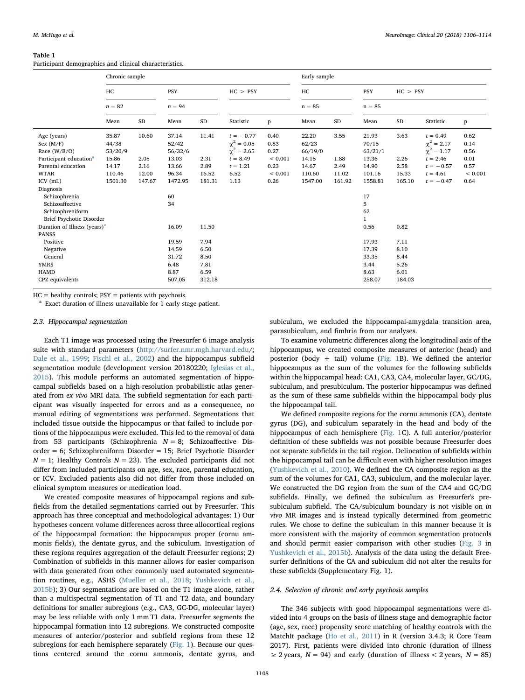#### <span id="page-2-0"></span>Table 1

Participant demographics and clinical characteristics.

|                                              | Chronic sample            |        |                           |        |                                                   |                      | Early sample              |           |                           |          |                                                  |                      |
|----------------------------------------------|---------------------------|--------|---------------------------|--------|---------------------------------------------------|----------------------|---------------------------|-----------|---------------------------|----------|--------------------------------------------------|----------------------|
|                                              | HC<br>$n = 82$            |        | PSY<br>$n = 94$           |        | HC > PSY                                          |                      | HC<br>$n = 85$            |           | <b>PSY</b>                | HC > PSY |                                                  |                      |
|                                              |                           |        |                           |        |                                                   |                      |                           |           | $n = 85$                  |          |                                                  |                      |
|                                              | Mean                      | SD     | Mean                      | SD     | Statistic                                         | $\mathbf{p}$         | Mean                      | <b>SD</b> | Mean                      | $\rm SD$ | Statistic                                        | $\mathbf{p}$         |
| Age (years)<br>Sex $(M/F)$<br>Race $(W/B/O)$ | 35.87<br>44/38<br>53/20/9 | 10.60  | 37.14<br>52/42<br>56/32/6 | 11.41  | $t = -0.77$<br>$\chi^2 = 0.05$<br>$\chi^2 = 2.65$ | 0.40<br>0.83<br>0.27 | 22.20<br>62/23<br>66/19/0 | 3.55      | 21.93<br>70/15<br>63/21/1 | 3.63     | $t = 0.49$<br>$\chi^2 = 2.17$<br>$\chi^2 = 1.17$ | 0.62<br>0.14<br>0.56 |
| Participant education <sup>a</sup>           | 15.86                     | 2.05   | 13.03                     | 2.31   | $t = 8.49$                                        | ${}< 0.001$          | 14.15                     | 1.88      | 13.36                     | 2.26     | $t = 2.46$                                       | 0.01                 |
| Parental education                           | 14.17                     | 2.16   | 13.66                     | 2.89   | $t = 1.21$                                        | 0.23                 | 14.67                     | 2.49      | 14.90                     | 2.58     | $t = -0.57$                                      | 0.57                 |
| <b>WTAR</b>                                  | 110.46                    | 12.00  | 96.34                     | 16.52  | 6.52                                              | ${}< 0.001$          | 110.60                    | 11.02     | 101.16                    | 15.33    | $t = 4.61$                                       | ${}< 0.001$          |
| $ICV$ ( $mL$ )                               | 1501.30                   | 147.67 | 1472.95                   | 181.31 | 1.13                                              | 0.26                 | 1547.00                   | 161.92    | 1558.81                   | 165.10   | $t = -0.47$                                      | 0.64                 |
| Diagnosis                                    |                           |        |                           |        |                                                   |                      |                           |           |                           |          |                                                  |                      |
| Schizophrenia                                |                           |        | 60                        |        |                                                   |                      |                           |           | 17                        |          |                                                  |                      |
| Schizoaffective                              |                           |        | 34                        |        |                                                   |                      |                           |           | 5                         |          |                                                  |                      |
| Schizophreniform                             |                           |        |                           |        |                                                   |                      |                           |           | 62                        |          |                                                  |                      |
| Brief Psychotic Disorder                     |                           |        |                           |        |                                                   |                      |                           |           | $\mathbf{1}$              |          |                                                  |                      |
| Duration of Illness (years) <sup>a</sup>     |                           |        | 16.09                     | 11.50  |                                                   |                      |                           |           | 0.56                      | 0.82     |                                                  |                      |
| <b>PANSS</b>                                 |                           |        |                           |        |                                                   |                      |                           |           |                           |          |                                                  |                      |
| Positive                                     |                           |        | 19.59                     | 7.94   |                                                   |                      |                           |           | 17.93                     | 7.11     |                                                  |                      |
| Negative                                     |                           |        | 14.59                     | 6.50   |                                                   |                      |                           |           | 17.39                     | 8.10     |                                                  |                      |
| General                                      |                           |        | 31.72                     | 8.50   |                                                   |                      |                           |           | 33.35                     | 8.44     |                                                  |                      |
| <b>YMRS</b>                                  |                           |        | 6.48                      | 7.81   |                                                   |                      |                           |           | 3.44                      | 5.26     |                                                  |                      |
| <b>HAMD</b>                                  |                           |        | 8.87                      | 6.59   |                                                   |                      |                           |           | 8.63                      | 6.01     |                                                  |                      |
| CPZ equivalents                              |                           |        | 507.05                    | 312.18 |                                                   |                      |                           |           | 258.07                    | 184.03   |                                                  |                      |

 $HC =$  healthy controls;  $PSY =$  patients with psychosis.

<span id="page-2-1"></span>Exact duration of illness unavailable for 1 early stage patient.

# 2.3. Hippocampal segmentation

Each T1 image was processed using the Freesurfer 6 image analysis suite with standard parameters [\(http://surfer.nmr.mgh.harvard.edu/](http://surfer.nmr.mgh.harvard.edu); [Dale et al., 1999;](#page-6-21) [Fischl et al., 2002](#page-6-22)) and the hippocampus subfield segmentation module (development version 20180220; [Iglesias et al.,](#page-7-20) [2015\)](#page-7-20). This module performs an automated segmentation of hippocampal subfields based on a high-resolution probabilistic atlas generated from ex vivo MRI data. The subfield segmentation for each participant was visually inspected for errors and as a consequence, no manual editing of segmentations was performed. Segmentations that included tissue outside the hippocampus or that failed to include portions of the hippocampus were excluded. This led to the removal of data from 53 participants (Schizophrenia  $N = 8$ ; Schizoaffective Disorder = 6; Schizophreniform Disorder = 15; Brief Psychotic Disorder  $N = 1$ ; Healthy Controls  $N = 23$ ). The excluded participants did not differ from included participants on age, sex, race, parental education, or ICV. Excluded patients also did not differ from those included on clinical symptom measures or medication load.

We created composite measures of hippocampal regions and subfields from the detailed segmentations carried out by Freesurfer. This approach has three conceptual and methodological advantages: 1) Our hypotheses concern volume differences across three allocortical regions of the hippocampal formation: the hippocampus proper (cornu ammonis fields), the dentate gyrus, and the subiculum. Investigation of these regions requires aggregation of the default Freesurfer regions; 2) Combination of subfields in this manner allows for easier comparison with data generated from other commonly used automated segmentation routines, e.g., ASHS [\(Mueller et al., 2018;](#page-7-27) [Yushkevich et al.,](#page-8-3) [2015b\)](#page-8-3); 3) Our segmentations are based on the T1 image alone, rather than a multispectral segmentation of T1 and T2 data, and boundary definitions for smaller subregions (e.g., CA3, GC-DG, molecular layer) may be less reliable with only 1 mm T1 data. Freesurfer segments the hippocampal formation into 12 subregions. We constructed composite measures of anterior/posterior and subfield regions from these 12 subregions for each hemisphere separately ([Fig. 1](#page-3-0)). Because our questions centered around the cornu ammonis, dentate gyrus, and

subiculum, we excluded the hippocampal-amygdala transition area, parasubiculum, and fimbria from our analyses.

To examine volumetric differences along the longitudinal axis of the hippocampus, we created composite measures of anterior (head) and posterior (body + tail) volume ([Fig. 1](#page-3-0)B). We defined the anterior hippocampus as the sum of the volumes for the following subfields within the hippocampal head: CA1, CA3, CA4, molecular layer, GC/DG, subiculum, and presubiculum. The posterior hippocampus was defined as the sum of these same subfields within the hippocampal body plus the hippocampal tail.

We defined composite regions for the cornu ammonis (CA), dentate gyrus (DG), and subiculum separately in the head and body of the hippocampus of each hemisphere ([Fig. 1C](#page-3-0)). A full anterior/posterior definition of these subfields was not possible because Freesurfer does not separate subfields in the tail region. Delineation of subfields within the hippocampal tail can be difficult even with higher resolution images ([Yushkevich et al., 2010\)](#page-8-4). We defined the CA composite region as the sum of the volumes for CA1, CA3, subiculum, and the molecular layer. We constructed the DG region from the sum of the CA4 and GC/DG subfields. Finally, we defined the subiculum as Freesurfer's presubiculum subfield. The CA/subiculum boundary is not visible on in vivo MR images and is instead typically determined from geometric rules. We chose to define the subiculum in this manner because it is more consistent with the majority of common segmentation protocols and should permit easier comparison with other studies [\(Fig. 3](#page-5-0) in [Yushkevich et al., 2015b](#page-8-3)). Analysis of the data using the default Freesurfer definitions of the CA and subiculum did not alter the results for these subfields (Supplementary Fig. 1).

# 2.4. Selection of chronic and early psychosis samples

The 346 subjects with good hippocampal segmentations were divided into 4 groups on the basis of illness stage and demographic factor (age, sex, race) propensity score matching of healthy controls with the MatchIt package [\(Ho et al., 2011\)](#page-6-23) in R (version 3.4.3; R Core Team 2017). First, patients were divided into chronic (duration of illness  $\geq$  2 years,  $N = 94$ ) and early (duration of illness < 2 years,  $N = 85$ )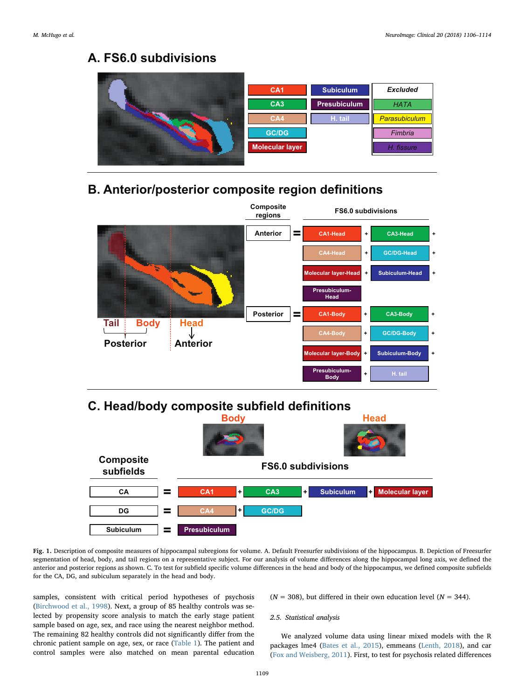# **A. FS6.0 subdivisions**

<span id="page-3-0"></span>

# **B. Anterior/posterior composite region definitions**



# **C. Head/body composite subfield definitions**



Fig. 1. Description of composite measures of hippocampal subregions for volume. A. Default Freesurfer subdivisions of the hippocampus. B. Depiction of Freesurfer segmentation of head, body, and tail regions on a representative subject. For our analysis of volume differences along the hippocampal long axis, we defined the anterior and posterior regions as shown. C. To test for subfield specific volume differences in the head and body of the hippocampus, we defined composite subfields for the CA, DG, and subiculum separately in the head and body.

samples, consistent with critical period hypotheses of psychosis ([Birchwood et al., 1998](#page-6-14)). Next, a group of 85 healthy controls was selected by propensity score analysis to match the early stage patient sample based on age, sex, and race using the nearest neighbor method. The remaining 82 healthy controls did not significantly differ from the chronic patient sample on age, sex, or race [\(Table 1](#page-2-0)). The patient and control samples were also matched on mean parental education  $(N = 308)$ , but differed in their own education level  $(N = 344)$ .

# 2.5. Statistical analysis

We analyzed volume data using linear mixed models with the R packages lme4 ([Bates et al., 2015](#page-6-24)), emmeans [\(Lenth, 2018\)](#page-7-28), and car ([Fox and Weisberg, 2011](#page-6-25)). First, to test for psychosis related differences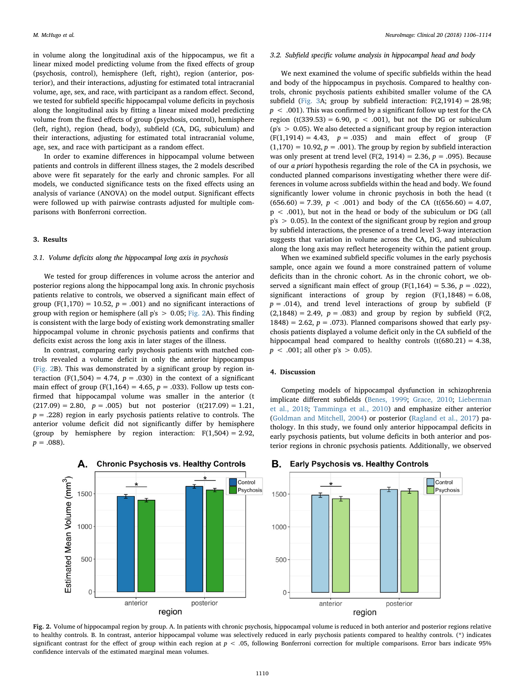in volume along the longitudinal axis of the hippocampus, we fit a linear mixed model predicting volume from the fixed effects of group (psychosis, control), hemisphere (left, right), region (anterior, posterior), and their interactions, adjusting for estimated total intracranial volume, age, sex, and race, with participant as a random effect. Second, we tested for subfield specific hippocampal volume deficits in psychosis along the longitudinal axis by fitting a linear mixed model predicting volume from the fixed effects of group (psychosis, control), hemisphere (left, right), region (head, body), subfield (CA, DG, subiculum) and their interactions, adjusting for estimated total intracranial volume, age, sex, and race with participant as a random effect.

In order to examine differences in hippocampal volume between patients and controls in different illness stages, the 2 models described above were fit separately for the early and chronic samples. For all models, we conducted significance tests on the fixed effects using an analysis of variance (ANOVA) on the model output. Significant effects were followed up with pairwise contrasts adjusted for multiple comparisons with Bonferroni correction.

### 3. Results

# 3.1. Volume deficits along the hippocampal long axis in psychosis

We tested for group differences in volume across the anterior and posterior regions along the hippocampal long axis. In chronic psychosis patients relative to controls, we observed a significant main effect of group (F(1,170) = 10.52,  $p = .001$ ) and no significant interactions of group with region or hemisphere (all  $p's > 0.05$ ; [Fig. 2A](#page-4-0)). This finding is consistent with the large body of existing work demonstrating smaller hippocampal volume in chronic psychosis patients and confirms that deficits exist across the long axis in later stages of the illness.

In contrast, comparing early psychosis patients with matched controls revealed a volume deficit in only the anterior hippocampus ([Fig. 2](#page-4-0)B). This was demonstrated by a significant group by region interaction (F(1,504) = 4.74,  $p = .030$ ) in the context of a significant main effect of group (F(1,164) = 4.65,  $p = .033$ ). Follow up tests confirmed that hippocampal volume was smaller in the anterior (t  $(217.09) = 2.80$ ,  $p = .005$ ) but not posterior  $(t(217.09) = 1.21$ ,  $p = .228$ ) region in early psychosis patients relative to controls. The anterior volume deficit did not significantly differ by hemisphere (group by hemisphere by region interaction:  $F(1,504) = 2.92$ ,  $p = .088$ ).

anterior

A.

<span id="page-4-0"></span>

posterior

**Chronic Psychosis vs. Healthy Controls** 

region

#### 3.2. Subfield specific volume analysis in hippocampal head and body

We next examined the volume of specific subfields within the head and body of the hippocampus in psychosis. Compared to healthy controls, chronic psychosis patients exhibited smaller volume of the CA subfield ([Fig. 3](#page-5-0)A; group by subfield interaction:  $F(2,1914) = 28.98$ ;  $p < .001$ ). This was confirmed by a significant follow up test for the CA region (t(339.53) = 6.90,  $p < .001$ ), but not the DG or subiculum ( $p's > 0.05$ ). We also detected a significant group by region interaction  $(F(1,1914) = 4.43, p = .035)$  and main effect of group (F  $(1.170) = 10.92$ ,  $p = .001$ . The group by region by subfield interaction was only present at trend level (F(2, 1914) = 2.36,  $p = .095$ ). Because of our a priori hypothesis regarding the role of the CA in psychosis, we conducted planned comparisons investigating whether there were differences in volume across subfields within the head and body. We found significantly lower volume in chronic psychosis in both the head (t  $(656.60) = 7.39, p < .001$  and body of the CA  $(t(656.60) = 4.07,$ p < .001), but not in the head or body of the subiculum or DG (all  $p's > 0.05$ ). In the context of the significant group by region and group by subfield interactions, the presence of a trend level 3-way interaction suggests that variation in volume across the CA, DG, and subiculum along the long axis may reflect heterogeneity within the patient group.

When we examined subfield specific volumes in the early psychosis sample, once again we found a more constrained pattern of volume deficits than in the chronic cohort. As in the chronic cohort, we observed a significant main effect of group (F(1,164) = 5.36,  $p = .022$ ), significant interactions of group by region  $(F(1, 1848) = 6.08,$  $p = .014$ ), and trend level interactions of group by subfield (F  $(2,1848) = 2.49, p = .083$  and group by region by subfield (F(2, 1848) = 2.62,  $p = .073$ ). Planned comparisons showed that early psychosis patients displayed a volume deficit only in the CA subfield of the hippocampal head compared to healthy controls  $(t(680.21) = 4.38$ ,  $p < .001$ ; all other p's  $> 0.05$ ).

# 4. Discussion

Competing models of hippocampal dysfunction in schizophrenia implicate different subfields [\(Benes, 1999](#page-6-16); [Grace, 2010;](#page-6-17) [Lieberman](#page-7-23) [et al., 2018;](#page-7-23) [Tamminga et al., 2010](#page-7-24)) and emphasize either anterior ([Goldman and Mitchell, 2004](#page-6-26)) or posterior [\(Ragland et al., 2017\)](#page-7-29) pathology. In this study, we found only anterior hippocampal deficits in early psychosis patients, but volume deficits in both anterior and posterior regions in chronic psychosis patients. Additionally, we observed

#### **Early Psychosis vs. Healthy Controls** В.



Fig. 2. Volume of hippocampal region by group. A. In patients with chronic psychosis, hippocampal volume is reduced in both anterior and posterior regions relative to healthy controls. B. In contrast, anterior hippocampal volume was selectively reduced in early psychosis patients compared to healthy controls. (\*) indicates significant contrast for the effect of group within each region at  $p < .05$ , following Bonferroni correction for multiple comparisons. Error bars indicate 95% confidence intervals of the estimated marginal mean volumes.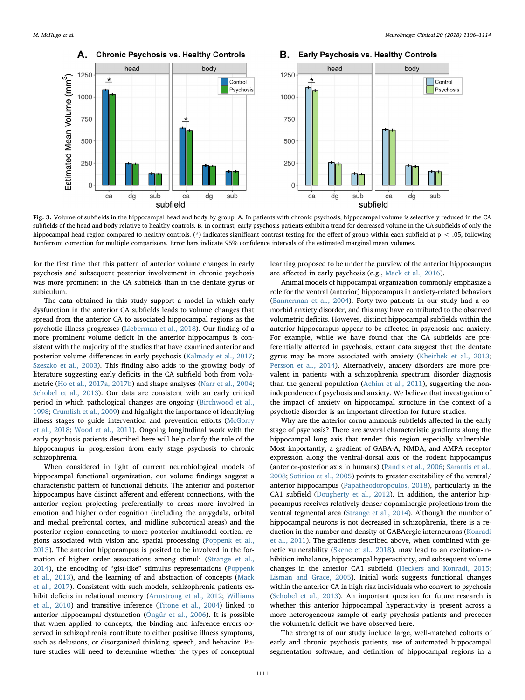Control

Psychosis

body

 $\overline{dq}$ 

sub

<span id="page-5-0"></span>

#### **B. Early Psychosis vs. Healthy Controls**

Fig. 3. Volume of subfields in the hippocampal head and body by group. A. In patients with chronic psychosis, hippocampal volume is selectively reduced in the CA subfields of the head and body relative to healthy controls. B. In contrast, early psychosis patients exhibit a trend for decreased volume in the CA subfields of only the hippocampal head region compared to healthy controls. (\*) indicates significant contrast testing for the effect of group within each subfield at p < .05, following Bonferroni correction for multiple comparisons. Error bars indicate 95% confidence intervals of the estimated marginal mean volumes.

for the first time that this pattern of anterior volume changes in early psychosis and subsequent posterior involvement in chronic psychosis was more prominent in the CA subfields than in the dentate gyrus or subiculum.

The data obtained in this study support a model in which early dysfunction in the anterior CA subfields leads to volume changes that spread from the anterior CA to associated hippocampal regions as the psychotic illness progresses ([Lieberman et al., 2018](#page-7-23)). Our finding of a more prominent volume deficit in the anterior hippocampus is consistent with the majority of the studies that have examined anterior and posterior volume differences in early psychosis [\(Kalmady et al., 2017](#page-7-14); [Szeszko et al., 2003\)](#page-7-15). This finding also adds to the growing body of literature suggesting early deficits in the CA subfield both from volumetric ([Ho et al., 2017a, 2017b\)](#page-6-13) and shape analyses ([Narr et al., 2004](#page-7-30); [Schobel et al., 2013\)](#page-7-31). Our data are consistent with an early critical period in which pathological changes are ongoing [\(Birchwood et al.,](#page-6-14) [1998;](#page-6-14) [Crumlish et al., 2009\)](#page-6-15) and highlight the importance of identifying illness stages to guide intervention and prevention efforts ([McGorry](#page-7-32) [et al., 2018](#page-7-32); [Wood et al., 2011\)](#page-8-5). Ongoing longitudinal work with the early psychosis patients described here will help clarify the role of the hippocampus in progression from early stage psychosis to chronic schizophrenia.

When considered in light of current neurobiological models of hippocampal functional organization, our volume findings suggest a characteristic pattern of functional deficits. The anterior and posterior hippocampus have distinct afferent and efferent connections, with the anterior region projecting preferentially to areas more involved in emotion and higher order cognition (including the amygdala, orbital and medial prefrontal cortex, and midline subcortical areas) and the posterior region connecting to more posterior multimodal cortical regions associated with vision and spatial processing ([Poppenk et al.,](#page-7-5) [2013\)](#page-7-5). The anterior hippocampus is posited to be involved in the formation of higher order associations among stimuli ([Strange et al.,](#page-7-19) [2014\)](#page-7-19), the encoding of "gist-like" stimulus representations [\(Poppenk](#page-7-5) [et al., 2013](#page-7-5)), and the learning of and abstraction of concepts ([Mack](#page-7-33) [et al., 2017](#page-7-33)). Consistent with such models, schizophrenia patients exhibit deficits in relational memory [\(Armstrong et al., 2012](#page-6-27); [Williams](#page-7-34) [et al., 2010](#page-7-34)) and transitive inference (Titone [et al., 2004](#page-7-35)) linked to anterior hippocampal dysfunction ([Öngür et al., 2006\)](#page-7-36). It is possible that when applied to concepts, the binding and inference errors observed in schizophrenia contribute to either positive illness symptoms, such as delusions, or disorganized thinking, speech, and behavior. Future studies will need to determine whether the types of conceptual learning proposed to be under the purview of the anterior hippocampus are affected in early psychosis (e.g., [Mack et al., 2016\)](#page-7-37).

Animal models of hippocampal organization commonly emphasize a role for the ventral (anterior) hippocampus in anxiety-related behaviors ([Bannerman et al., 2004\)](#page-6-28). Forty-two patients in our study had a comorbid anxiety disorder, and this may have contributed to the observed volumetric deficits. However, distinct hippocampal subfields within the anterior hippocampus appear to be affected in psychosis and anxiety. For example, while we have found that the CA subfields are preferentially affected in psychosis, extant data suggest that the dentate gyrus may be more associated with anxiety [\(Kheirbek et al., 2013](#page-7-38); [Persson et al., 2014](#page-7-39)). Alternatively, anxiety disorders are more prevalent in patients with a schizophrenia spectrum disorder diagnosis than the general population ([Achim et al., 2011\)](#page-6-29), suggesting the nonindependence of psychosis and anxiety. We believe that investigation of the impact of anxiety on hippocampal structure in the context of a psychotic disorder is an important direction for future studies.

Why are the anterior cornu ammonis subfields affected in the early stage of psychosis? There are several characteristic gradients along the hippocampal long axis that render this region especially vulnerable. Most importantly, a gradient of GABA-A, NMDA, and AMPA receptor expression along the ventral-dorsal axis of the rodent hippocampus (anterior-posterior axis in humans) [\(Pandis et al., 2006](#page-7-40); [Sarantis et al.,](#page-7-41) [2008;](#page-7-41) [Sotiriou et al., 2005](#page-7-42)) points to greater excitability of the ventral/ anterior hippocampus [\(Papatheodoropoulos, 2018](#page-7-43)), particularly in the CA1 subfield [\(Dougherty et al., 2012\)](#page-6-30). In addition, the anterior hippocampus receives relatively denser dopaminergic projections from the ventral tegmental area ([Strange et al., 2014](#page-7-19)). Although the number of hippocampal neurons is not decreased in schizophrenia, there is a reduction in the number and density of GABAergic interneurons ([Konradi](#page-7-44) [et al., 2011\)](#page-7-44). The gradients described above, when combined with genetic vulnerability [\(Skene et al., 2018](#page-7-45)), may lead to an excitation-inhibition imbalance, hippocampal hyperactivity, and subsequent volume changes in the anterior CA1 subfield [\(Heckers and Konradi, 2015](#page-6-31); [Lisman and Grace, 2005](#page-7-46)). Initial work suggests functional changes within the anterior CA in high risk individuals who convert to psychosis ([Schobel et al., 2013](#page-7-31)). An important question for future research is whether this anterior hippocampal hyperactivity is present across a more heterogeneous sample of early psychosis patients and precedes the volumetric deficit we have observed here.

The strengths of our study include large, well-matched cohorts of early and chronic psychosis patients, use of automated hippocampal segmentation software, and definition of hippocampal regions in a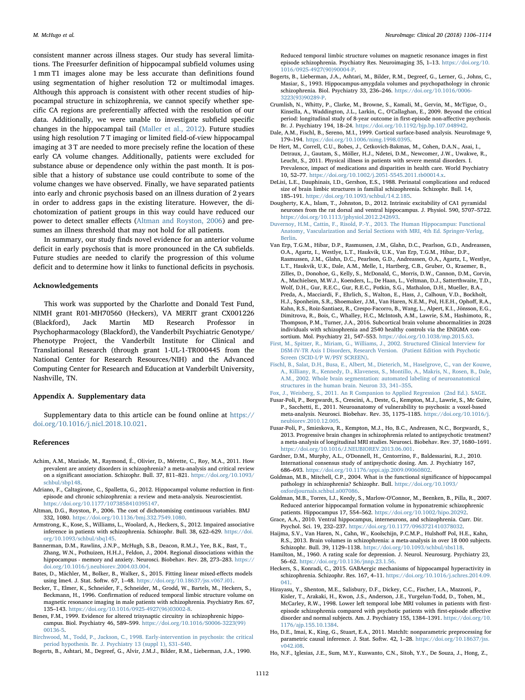consistent manner across illness stages. Our study has several limitations. The Freesurfer definition of hippocampal subfield volumes using 1 mm T1 images alone may be less accurate than definitions found using segmentation of higher resolution T2 or multimodal images. Although this approach is consistent with other recent studies of hippocampal structure in schizophrenia, we cannot specify whether specific CA regions are preferentially affected with the resolution of our data. Additionally, we were unable to investigate subfield specific changes in the hippocampal tail ([Maller et al., 2012](#page-7-12)). Future studies using high resolution 7 T imaging or limited field-of-view hippocampal imaging at 3 T are needed to more precisely refine the location of these early CA volume changes. Additionally, patients were excluded for substance abuse or dependence only within the past month. It is possible that a history of substance use could contribute to some of the volume changes we have observed. Finally, we have separated patients into early and chronic psychosis based on an illness duration of 2 years in order to address gaps in the existing literature. However, the dichotomization of patient groups in this way could have reduced our power to detect smaller effects [\(Altman and Royston, 2006](#page-6-32)) and presumes an illness threshold that may not hold for all patients.

In summary, our study finds novel evidence for an anterior volume deficit in early psychosis that is more pronounced in the CA subfields. Future studies are needed to clarify the progression of this volume deficit and to determine how it links to functional deficits in psychosis.

### Acknowledgements

This work was supported by the Charlotte and Donald Test Fund, NIMH grant R01-MH70560 (Heckers), VA MERIT grant CX001226 (Blackford), Jack Martin MD Research Professor in Psychopharmacology (Blackford), the Vanderbilt Psychiatric Genotype/ Phenotype Project, the Vanderbilt Institute for Clinical and Translational Research (through grant 1-UL-1-TR000445 from the National Center for Research Resources/NIH) and the Advanced Computing Center for Research and Education at Vanderbilt University, Nashville, TN.

### Appendix A. Supplementary data

Supplementary data to this article can be found online at [https://](https://doi.org/10.1016/j.nicl.2018.10.021) [doi.org/10.1016/j.nicl.2018.10.021](https://doi.org/10.1016/j.nicl.2018.10.021).

### References

- <span id="page-6-29"></span>Achim, A.M., Maziade, M., Raymond, É., Olivier, D., Mérette, C., Roy, M.A., 2011. How prevalent are anxiety disorders in schizophrenia? a meta-analysis and critical review on a significant association. Schizophr. Bull. 37, 811–821. [https://doi.org/10.1093/](https://doi.org/10.1093/schbul/sbp148) [schbul/sbp148](https://doi.org/10.1093/schbul/sbp148).
- <span id="page-6-3"></span>Adriano, F., Caltagirone, C., Spalletta, G., 2012. Hippocampal volume reduction in firstepisode and chronic schizophrenia: a review and meta-analysis. Neuroscientist. [https://doi.org/10.1177/1073858410395147.](https://doi.org/10.1177/1073858410395147)
- <span id="page-6-32"></span>Altman, D.G., Royston, P., 2006. The cost of dichotomising continuous variables. BMJ 332, 1080. [https://doi.org/10.1136/bmj.332.7549.1080.](https://doi.org/10.1136/bmj.332.7549.1080)
- <span id="page-6-27"></span>Armstrong, K., Kose, S., Williams, L., Woolard, A., Heckers, S., 2012. Impaired associative inference in patients with schizophrenia. Schizophr. Bull. 38, 622–629. [https://doi.](https://doi.org/10.1093/schbul/sbq145) [org/10.1093/schbul/sbq145](https://doi.org/10.1093/schbul/sbq145).
- <span id="page-6-28"></span>Bannerman, D.M., Rawlins, J.N.P., McHugh, S.B., Deacon, R.M.J., Yee, B.K., Bast, T., Zhang, W.N., Pothuizen, H.H.J., Feldon, J., 2004. Regional dissociations within the hippocampus - memory and anxiety. Neurosci. Biobehav. Rev. 28, 273–283. [https://](https://doi.org/10.1016/j.neubiorev.2004.03.004) [doi.org/10.1016/j.neubiorev.2004.03.004.](https://doi.org/10.1016/j.neubiorev.2004.03.004)
- <span id="page-6-24"></span>Bates, D., Mächler, M., Bolker, B., Walker, S., 2015. Fitting linear mixed-effects models using lme4. J. Stat. Softw. 67, 1–48. [https://doi.org/10.18637/jss.v067.i01.](https://doi.org/10.18637/jss.v067.i01)
- <span id="page-6-5"></span>Becker, T., Elmer, K., Schneider, F., Schneider, M., Grodd, W., Bartels, M., Heckers, S., Beckmann, H., 1996. Confirmation of reduced temporal limbic structure volume on magnetic resonance imaging in male patients with schizophrenia. Psychiatry Res. 67, 135–143. [https://doi.org/10.1016/0925-4927\(96\)03002-8](https://doi.org/10.1016/0925-4927(96)03002-8).
- <span id="page-6-16"></span>Benes, F.M., 1999. Evidence for altered trisynaptic circuitry in schizophrenic hippocampus. Biol. Psychiatry 46, 589–599. [https://doi.org/10.1016/S0006-3223\(99\)](https://doi.org/10.1016/S0006-3223(99)00136-5) [00136-5](https://doi.org/10.1016/S0006-3223(99)00136-5).
- <span id="page-6-14"></span>[Birchwood, M., Todd, P., Jackson, C., 1998. Early-intervention in psychosis: the critical](http://refhub.elsevier.com/S2213-1582(18)30331-0/rf0045) [period hypothesis. Br. J. Psychiatry 13 \(suppl 1\), S31](http://refhub.elsevier.com/S2213-1582(18)30331-0/rf0045)–S40.

<span id="page-6-7"></span>Bogerts, B., Ashtari, M., Degreef, G., Alvir, J.M.J., Bilder, R.M., Lieberman, J.A., 1990.

Reduced temporal limbic structure volumes on magnetic resonance images in first episode schizophrenia. Psychiatry Res. Neuroimaging 35, 1–13. [https://doi.org/10.](https://doi.org/10.1016/0925-4927(90)90004-P) [1016/0925-4927\(90\)90004-P](https://doi.org/10.1016/0925-4927(90)90004-P).

- <span id="page-6-6"></span>Bogerts, B., Lieberman, J.A., Ashtari, M., Bilder, R.M., Degreef, G., Lerner, G., Johns, C., Masiar, S., 1993. Hippocampus-amygdala volumes and psychopathology in chronic schizophrenia. Biol. Psychiatry 33, 236–246. [https://doi.org/10.1016/0006-](https://doi.org/10.1016/0006-3223(93)90289-P) [3223\(93\)90289-P.](https://doi.org/10.1016/0006-3223(93)90289-P)
- <span id="page-6-15"></span>Crumlish, N., Whitty, P., Clarke, M., Browne, S., Kamali, M., Gervin, M., McTigue, O., Kinsella, A., Waddington, J.L., Larkin, C., O'Callaghan, E., 2009. Beyond the critical period: longitudinal study of 8-year outcome in first-episode non-affective psychosis. Br. J. Psychiatry 194, 18–24. <https://doi.org/10.1192/bjp.bp.107.048942>.
- <span id="page-6-21"></span>Dale, A.M., Fischl, B., Sereno, M.I., 1999. Cortical surface-based analysis. NeuroImage 9, 179–194. [https://doi.org/10.1006/nimg.1998.0395.](https://doi.org/10.1006/nimg.1998.0395)
- <span id="page-6-0"></span>De Hert, M., Correll, C.U., Bobes, J., Cetkovich-Bakmas, M., Cohen, D.A.N., Asai, I., Detraux, J., Gautam, S., Möller, H.J., Ndetei, D.M., Newcomer, J.W., Uwakwe, R., Leucht, S., 2011. Physical illness in patients with severe mental disorders. I. Prevalence, impact of medications and disparities in health care. World Psychiatry 10, 52–77. [https://doi.org/10.1002/j.2051-5545.2011.tb00014.x.](https://doi.org/10.1002/j.2051-5545.2011.tb00014.x)
- <span id="page-6-8"></span>DeLisi, L.E., Dauphinais, I.D., Gershon, E.S., 1988. Perinatal complications and reduced size of brain limbic structures in familial schizophrenia. Schizophr. Bull. 14, 185–191. <https://doi.org/10.1093/schbul/14.2.185>.
- <span id="page-6-30"></span>Dougherty, K.A., Islam, T., Johnston, D., 2012. Intrinsic excitability of CA1 pyramidal neurones from the rat dorsal and ventral hippocampus. J. Physiol. 590, 5707–5722. <https://doi.org/10.1113/jphysiol.2012.242693>.
- <span id="page-6-12"></span>[Duvernoy, H.M., Cattin, F., Risold, P.-Y., 2013. The Human Hippocampus: Functional](http://refhub.elsevier.com/S2213-1582(18)30331-0/rf0085) [Anatomy, Vascularization and Serial Sections with MRI, 4th Ed. Springer-Verlag,](http://refhub.elsevier.com/S2213-1582(18)30331-0/rf0085) [Berlin](http://refhub.elsevier.com/S2213-1582(18)30331-0/rf0085).
- <span id="page-6-4"></span>Van Erp, T.G.M., Hibar, D.P., Rasmussen, J.M., Glahn, D.C., Pearlson, G.D., Andreassen, O.A., Agartz, I., Westlye, L.T., Haukvik, U.K., Van Erp, T.G.M., Hibar, D.P., Rasmussen, J.M., Glahn, D.C., Pearlson, G.D., Andreassen, O.A., Agartz, I., Westlye, L.T., Haukvik, U.K., Dale, A.M., Melle, I., Hartberg, C.B., Gruber, O., Kraemer, B., Zilles, D., Donohoe, G., Kelly, S., McDonald, C., Morris, D.W., Cannon, D.M., Corvin, A., Machielsen, M.W.J., Koenders, L., De Haan, L., Veltman, D.J., Satterthwaite, T.D., Wolf, D.H., Gur, R.E.C., Gur, R.E.C., Potkin, S.G., Mathalon, D.H., Mueller, B.A., Preda, A., Macciardi, F., Ehrlich, S., Walton, E., Hass, J., Calhoun, V.D., Bockholt, H.J., Sponheim, S.R., Shoemaker, J.M., Van Haren, N.E.M., Pol, H.E.H., Ophoff, R.A., Kahn, R.S., Roiz-Santiaez, R., Crespo-Facorro, B., Wang, L., Alpert, K.I., Jönsson, E.G., Dimitrova, R., Bois, C., Whalley, H.C., McIntosh, A.M., Lawrie, S.M., Hashimoto, R., Thompson, P.M., Turner, J.A., 2016. Subcortical brain volume abnormalities in 2028 individuals with schizophrenia and 2540 healthy controls via the ENIGMA consortium. Mol. Psychiatry 21, 547–553. <https://doi.org/10.1038/mp.2015.63>.
- <span id="page-6-18"></span>[First, M., Spitzer, R., Miriam, G., Williams, J., 2002. Structured Clinical Interview for](http://refhub.elsevier.com/S2213-1582(18)30331-0/rf0095) [DSM-IV-TR Axis I Disorders, Research Version. \(Patient Edition with Psychotic](http://refhub.elsevier.com/S2213-1582(18)30331-0/rf0095) [Screen \(SCID-I/P W/PSY SCREEN\).](http://refhub.elsevier.com/S2213-1582(18)30331-0/rf0095)
- <span id="page-6-22"></span>[Fischl, B., Salat, D.H., Busa, E., Albert, M., Dieterich, M., Haselgrove, C., van der Kouwe,](http://refhub.elsevier.com/S2213-1582(18)30331-0/rf0100) [A., Killiany, R., Kennedy, D., Klaveness, S., Montillo, A., Makris, N., Rosen, B., Dale,](http://refhub.elsevier.com/S2213-1582(18)30331-0/rf0100) [A.M., 2002. Whole brain segmentation: automated labeling of neuroanatomical](http://refhub.elsevier.com/S2213-1582(18)30331-0/rf0100) [structures in the human brain. Neuron 33, 341](http://refhub.elsevier.com/S2213-1582(18)30331-0/rf0100)–355.

<span id="page-6-25"></span>[Fox, J., Weisberg, S., 2011. An R Companion to Applied Regression \(2nd Ed.\). SAGE](http://refhub.elsevier.com/S2213-1582(18)30331-0/rf0105).

- <span id="page-6-11"></span>Fusar-Poli, P., Borgwardt, S., Crescini, A., Deste, G., Kempton, M.J., Lawrie, S., Mc Guire, P., Sacchetti, E., 2011. Neuroanatomy of vulnerability to psychosis: a voxel-based meta-analysis. Neurosci. Biobehav. Rev. 35, 1175–1185. [https://doi.org/10.1016/j.](https://doi.org/10.1016/j.neubiorev.2010.12.005) [neubiorev.2010.12.005](https://doi.org/10.1016/j.neubiorev.2010.12.005).
- <span id="page-6-1"></span>Fusar-Poli, P., Smieskova, R., Kempton, M.J., Ho, B.C., Andreasen, N.C., Borgwardt, S., 2013. Progressive brain changes in schizophrenia related to antipsychotic treatment? a meta-analysis of longitudinal MRI studies. Neurosci. Biobehav. Rev. 37, 1680–1691. <https://doi.org/10.1016/J.NEUBIOREV.2013.06.001>.
- <span id="page-6-20"></span>Gardner, D.M., Murphy, A.L., O'Donnell, H., Centorrino, F., Baldessarini, R.J., 2010. International consensus study of antipsychotic dosing. Am. J. Psychiatry 167, 686–693. <https://doi.org/10.1176/appi.ajp.2009.09060802>.
- <span id="page-6-26"></span>Goldman, M.B., Mitchell, C.P., 2004. What is the functional significance of hippocampal pathology in schizophrenia? Schizophr. Bull. [https://doi.org/10.1093/](https://doi.org/10.1093/oxfordjournals.schbul.a007086) [oxfordjournals.schbul.a007086](https://doi.org/10.1093/oxfordjournals.schbul.a007086).
- <span id="page-6-10"></span>Goldman, M.B., Torres, I.J., Keedy, S., Marlow-O'Connor, M., Beenken, B., Pilla, R., 2007. Reduced anterior hippocampal formation volume in hyponatremic schizophrenic patients. Hippocampus 17, 554–562. <https://doi.org/10.1002/hipo.20292>.
- <span id="page-6-17"></span>Grace, A.A., 2010. Ventral hippocampus, interneurons, and schizophrenia. Curr. Dir. Psychol. Sci. 19, 232–237. <https://doi.org/10.1177/0963721410378032>.
- <span id="page-6-2"></span>Haijma, S.V., Van Haren, N., Cahn, W., Koolschijn, P.C.M.P., Hulshoff Pol, H.E., Kahn, R.S., 2013. Brain volumes in schizophrenia: a meta-analysis in over 18 000 subjects. Schizophr. Bull. 39, 1129–1138. <https://doi.org/10.1093/schbul/sbs118>.
- <span id="page-6-19"></span>Hamilton, M., 1960. A rating scale for depression. J. Neurol. Neurosurg. Psychiatry 23, 56–62. [https://doi.org/10.1136/jnnp.23.1.56.](https://doi.org/10.1136/jnnp.23.1.56)
- <span id="page-6-31"></span>Heckers, S., Konradi, C., 2015. GABAergic mechanisms of hippocampal hyperactivity in schizophrenia. Schizophr. Res. 167, 4–11. [https://doi.org/10.1016/j.schres.2014.09.](https://doi.org/10.1016/j.schres.2014.09.041) [041](https://doi.org/10.1016/j.schres.2014.09.041).
- <span id="page-6-9"></span>Hirayasu, Y., Shenton, M.E., Salisbury, D.F., Dickey, C.C., Fischer, I.A., Mazzoni, P., Kisler, T., Arakaki, H., Kwon, J.S., Anderson, J.E., Yurgelun-Todd, D., Tohen, M., McCarley, R.W., 1998. Lower left temporal lobe MRI volumes in patients with firstepisode schizophrenia compared with psychotic patients with first-episode affective disorder and normal subjects. Am. J. Psychiatry 155, 1384–1391. [https://doi.org/10.](https://doi.org/10.1176/ajp.155.10.1384) [1176/ajp.155.10.1384](https://doi.org/10.1176/ajp.155.10.1384).
- <span id="page-6-23"></span>Ho, D.E., Imai, K., King, G., Stuart, E.A., 2011. MatchIt: nonparametric preprocessing for parametric causal inference. J. Stat. Softw. 42, 1–28. [https://doi.org/10.18637/jss.](https://doi.org/10.18637/jss.v042.i08) [v042.i08.](https://doi.org/10.18637/jss.v042.i08)
- <span id="page-6-13"></span>Ho, N.F., Iglesias, J.E., Sum, M.Y., Kuswanto, C.N., Sitoh, Y.Y., De Souza, J., Hong, Z.,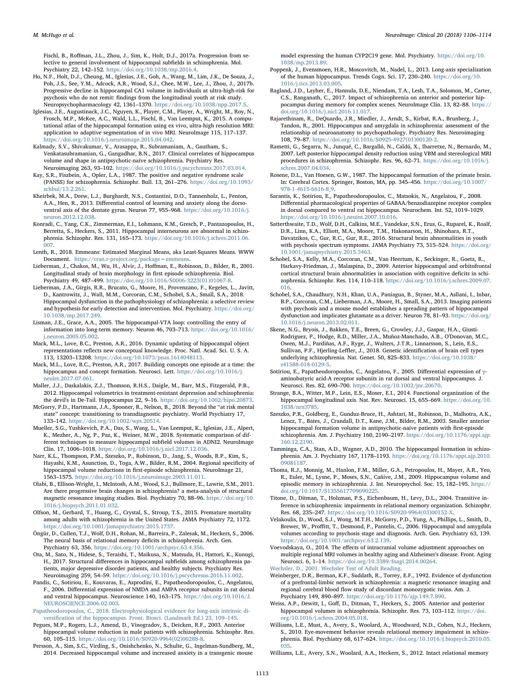Fischl, B., Roffman, J.L., Zhou, J., Sim, K., Holt, D.J., 2017a. Progression from selective to general involvement of hippocampal subfields in schizophrenia. Mol. Psychiatry 22, 142–152. <https://doi.org/10.1038/mp.2016.4>.

- <span id="page-7-22"></span>Ho, N.F., Holt, D.J., Cheung, M., Iglesias, J.E., Goh, A., Wang, M., Lim, J.K., De Souza, J., Poh, J.S., See, Y.M., Adcock, A.R., Wood, S.J., Chee, M.W., Lee, J., Zhou, J., 2017b. Progressive decline in hippocampal CA1 volume in individuals at ultra-high-risk for psychosis who do not remit: findings from the longitudinal youth at risk study. Neuropsychopharmacology 42, 1361–1370. [https://doi.org/10.1038/npp.2017.5.](https://doi.org/10.1038/npp.2017.5)
- <span id="page-7-20"></span>Iglesias, J.E., Augustinack, J.C., Nguyen, K., Player, C.M., Player, A., Wright, M., Roy, N., Frosch, M.P., McKee, A.C., Wald, L.L., Fischl, B., Van Leemput, K., 2015. A computational atlas of the hippocampal formation using ex vivo, ultra-high resolution MRI: application to adaptive segmentation of in vivo MRI. NeuroImage 115, 117–137. <https://doi.org/10.1016/j.neuroimage.2015.04.042>.
- <span id="page-7-14"></span>Kalmady, S.V., Shivakumar, V., Arasappa, R., Subramaniam, A., Gautham, S., Venkatasubramanian, G., Gangadhar, B.N., 2017. Clinical correlates of hippocampus volume and shape in antipsychotic-naïve schizophrenia. Psychiatry Res. Neuroimaging 263, 93–102. <https://doi.org/10.1016/j.pscychresns.2017.03.014>.
- <span id="page-7-25"></span>Kay, S.R., Fiszbein, A., Opler, L.A., 1987. The positive and negative syndrome scale (PANSS) for schizophrenia. Schizophr. Bull. 13, 261–276. [https://doi.org/10.1093/](https://doi.org/10.1093/schbul/13.2.261) [schbul/13.2.261](https://doi.org/10.1093/schbul/13.2.261).
- <span id="page-7-38"></span>Kheirbek, M.A., Drew, L.J., Burghardt, N.S., Costantini, D.O., Tannenholz, L., Fenton, A.A., Hen, R., 2013. Differential control of learning and anxiety along the dorsoventral axis of the dentate gyrus. Neuron 77, 955–968. [https://doi.org/10.1016/j.](https://doi.org/10.1016/j.neuron.2012.12.038) [neuron.2012.12.038](https://doi.org/10.1016/j.neuron.2012.12.038).
- <span id="page-7-44"></span>Konradi, C., Yang, C.K., Zimmerman, E.I., Lohmann, K.M., Gresch, P., Pantazopoulos, H., Berretta, S., Heckers, S., 2011. Hippocampal interneurons are abnormal in schizophrenia. Schizophr. Res. 131, 165–173. [https://doi.org/10.1016/j.schres.2011.06.](https://doi.org/10.1016/j.schres.2011.06.007) [007](https://doi.org/10.1016/j.schres.2011.06.007).
- <span id="page-7-28"></span>Lenth, R., 2018. Emmeans: Estimated Marginal Means, aka Least-Squares Means. WWW Document. [https://cran.r-project.org/package=emmeans.](https://cran.r-project.org/package=emmeans)
- <span id="page-7-6"></span>Lieberman, J., Chakos, M., Wu, H., Alvir, J., Hoffman, E., Robinson, D., Bilder, R., 2001. Longitudinal study of brain morphology in first episode schizophrenia. Biol. Psychiatry 49, 487–499. [https://doi.org/10.1016/S0006-3223\(01\)01067-8](https://doi.org/10.1016/S0006-3223(01)01067-8).
- <span id="page-7-23"></span>Lieberman, J.A., Girgis, R.R., Brucato, G., Moore, H., Provenzano, F., Kegeles, L., Javitt, D., Kantrowitz, J., Wall, M.M., Corcoran, C.M., Schobel, S.A., Small, S.A., 2018. Hippocampal dysfunction in the pathophysiology of schizophrenia: a selective review and hypothesis for early detection and intervention. Mol. Psychiatry. [https://doi.org/](https://doi.org/10.1038/mp.2017.249) [10.1038/mp.2017.249.](https://doi.org/10.1038/mp.2017.249)
- <span id="page-7-46"></span>Lisman, J.E., Grace, A.A., 2005. The hippocampal-VTA loop: controlling the entry of information into long-term memory. Neuron 46, 703–713. [https://doi.org/10.1016/](https://doi.org/10.1016/j.neuron.2005.05.002) [j.neuron.2005.05.002.](https://doi.org/10.1016/j.neuron.2005.05.002)
- <span id="page-7-37"></span>Mack, M.L., Love, B.C., Preston, A.R., 2016. Dynamic updating of hippocampal object representations reflects new conceptual knowledge. Proc. Natl. Acad. Sci. U. S. A. 113, 13203–13208. [https://doi.org/10.1073/pnas.1614048113.](https://doi.org/10.1073/pnas.1614048113)
- <span id="page-7-33"></span>Mack, M.L., Love, B.C., Preston, A.R., 2017. Building concepts one episode at a time: the hippocampus and concept formation. Neurosci. Lett. [https://doi.org/10.1016/j.](https://doi.org/10.1016/j.neulet.2017.07.061) [neulet.2017.07.061.](https://doi.org/10.1016/j.neulet.2017.07.061)
- <span id="page-7-12"></span>Maller, J.J., Daskalakis, Z.J., Thomson, R.H.S., Daigle, M., Barr, M.S., Fitzgerald, P.B., 2012. Hippocampal volumetrics in treatment-resistant depression and schizophrenia: the devil's in De-Tail. Hippocampus 22, 9–16. <https://doi.org/10.1002/hipo.20873>.
- <span id="page-7-32"></span>McGorry, P.D., Hartmann, J.A., Spooner, R., Nelson, B., 2018. Beyond the "at risk mental state" concept: transitioning to transdiagnostic psychiatry. World Psychiatry 17, 133–142. [https://doi.org/10.1002/wps.20514.](https://doi.org/10.1002/wps.20514)
- <span id="page-7-27"></span>Mueller, S.G., Yushkevich, P.A., Das, S., Wang, L., Van Leemput, K., Iglesias, J.E., Alpert, K., Mezher, A., Ng, P., Paz, K., Weiner, M.W., 2018. Systematic comparison of different techniques to measure hippocampal subfield volumes in ADNI2. NeuroImage Clin. 17, 1006–1018. <https://doi.org/10.1016/j.nicl.2017.12.036>.
- <span id="page-7-30"></span>Narr, K.L., Thompson, P.M., Szeszko, P., Robinson, D., Jang, S., Woods, R.P., Kim, S., Hayashi, K.M., Asunction, D., Toga, A.W., Bilder, R.M., 2004. Regional specificity of hippocampal volume reductions in first-episode schizophrenia. NeuroImage 21, 1563–1575. [https://doi.org/10.1016/j.neuroimage.2003.11.011.](https://doi.org/10.1016/j.neuroimage.2003.11.011)
- <span id="page-7-1"></span>Olabi, B., Ellison-Wright, I., McIntosh, A.M., Wood, S.J., Bullmore, E., Lawrie, S.M., 2011. Are there progressive brain changes in schizophrenia? a meta-analysis of structural magnetic resonance imaging studies. Biol. Psychiatry 70, 88–96. [https://doi.org/10.](https://doi.org/10.1016/j.biopsych.2011.01.032) [1016/j.biopsych.2011.01.032](https://doi.org/10.1016/j.biopsych.2011.01.032).
- <span id="page-7-0"></span>Olfson, M., Gerhard, T., Huang, C., Crystal, S., Stroup, T.S., 2015. Premature mortality among adults with schizophrenia in the United States. JAMA Psychiatry 72, 1172. [https://doi.org/10.1001/jamapsychiatry.2015.1737.](https://doi.org/10.1001/jamapsychiatry.2015.1737)
- <span id="page-7-36"></span>Öngür, D., Cullen, T.J., Wolf, D.H., Rohan, M., Barreira, P., Zalesak, M., Heckers, S., 2006. The neural basis of relational memory deficits in schizophrenia. Arch. Gen. Psychiatry 63, 356. <https://doi.org/10.1001/archpsyc.63.4.356>.
- <span id="page-7-21"></span>Ota, M., Sato, N., Hidese, S., Teraishi, T., Maikusa, N., Matsuda, H., Hattori, K., Kunugi, H., 2017. Structural differences in hippocampal subfields among schizophrenia patients, major depressive disorder patients, and healthy subjects. Psychiatry Res. Neuroimaging 259, 54–59. <https://doi.org/10.1016/j.pscychresns.2016.11.002>.
- <span id="page-7-40"></span>Pandis, C., Sotiriou, E., Kouvaras, E., Asprodini, E., Papatheodoropoulos, C., Angelatou, F., 2006. Differential expression of NMDA and AMPA receptor subunits in rat dorsal and ventral hippocampus. Neuroscience 140, 163–175. [https://doi.org/10.1016/J.](https://doi.org/10.1016/J.NEUROSCIENCE.2006.02.003) [NEUROSCIENCE.2006.02.003](https://doi.org/10.1016/J.NEUROSCIENCE.2006.02.003).
- <span id="page-7-43"></span>[Papatheodoropoulos, C., 2018. Electrophysiological evidence for long-axis intrinsic di](http://refhub.elsevier.com/S2213-1582(18)30331-0/rf0275)versifi[cation of the hippocampus. Front. Biosci. \(Landmark Ed.\) 23, 109](http://refhub.elsevier.com/S2213-1582(18)30331-0/rf0275)–145.
- <span id="page-7-9"></span>Pegues, M.P., Rogers, L.J., Amend, D., Vinogradov, S., Deicken, R.F., 2003. Anterior hippocampal volume reduction in male patients with schizophrenia. Schizophr. Res. 60, 105–115. [https://doi.org/10.1016/S0920-9964\(02\)00288-8.](https://doi.org/10.1016/S0920-9964(02)00288-8)
- <span id="page-7-39"></span>Persson, A., Sim, S.C., Virding, S., Onishchenko, N., Schulte, G., Ingelman-Sundberg, M., 2014. Decreased hippocampal volume and increased anxiety in a transgenic mouse

model expressing the human CYP2C19 gene. Mol. Psychiatry. [https://doi.org/10.](https://doi.org/10.1038/mp.2013.89) [1038/mp.2013.89](https://doi.org/10.1038/mp.2013.89).

- <span id="page-7-5"></span>Poppenk, J., Evensmoen, H.R., Moscovitch, M., Nadel, L., 2013. Long-axis specialization of the human hippocampus. Trends Cogn. Sci. 17, 230–240. [https://doi.org/10.](https://doi.org/10.1016/j.tics.2013.03.005) [1016/j.tics.2013.03.005.](https://doi.org/10.1016/j.tics.2013.03.005)
- <span id="page-7-29"></span>Ragland, J.D., Layher, E., Hannula, D.E., Niendam, T.A., Lesh, T.A., Solomon, M., Carter, C.S., Ranganath, C., 2017. Impact of schizophrenia on anterior and posterior hippocampus during memory for complex scenes. NeuroImage Clin. 13, 82–88. [https://](https://doi.org/10.1016/j.nicl.2016.11.017) [doi.org/10.1016/j.nicl.2016.11.017.](https://doi.org/10.1016/j.nicl.2016.11.017)
- <span id="page-7-7"></span>Rajarethinam, R., DeQuardo, J.R., Miedler, J., Arndt, S., Kirbat, R.A., Brunberg, J., Tandon, R., 2001. Hippocampus and amygdala in schizophrenia: assessment of the relationship of neuroanatomy to psychopathology. Psychiatry Res. Neuroimaging 108, 79–87. [https://doi.org/10.1016/S0925-4927\(01\)00120-2](https://doi.org/10.1016/S0925-4927(01)00120-2).
- <span id="page-7-13"></span>Rametti, G., Segarra, N., Junqué, C., Bargalló, N., Caldú, X., Ibarretxe, N., Bernardo, M., 2007. Left posterior hippocampal density reduction using VBM and stereological MRI procedures in schizophrenia. Schizophr. Res. 96, 62–71. [https://doi.org/10.1016/j.](https://doi.org/10.1016/j.schres.2007.04.034) [schres.2007.04.034.](https://doi.org/10.1016/j.schres.2007.04.034)
- <span id="page-7-3"></span>Rosene, D.L., Van Hoesen, G.W., 1987. The hippocampal formation of the primate brain. In: Cerebral Cortex. Springer, Boston, MA, pp. 345–456. [https://doi.org/10.1007/](https://doi.org/10.1007/978-1-4615-6616-8_9) [978-1-4615-6616-8\\_9](https://doi.org/10.1007/978-1-4615-6616-8_9).
- <span id="page-7-41"></span>Sarantis, K., Sotiriou, E., Papatheodoropoulos, C., Matsokis, N., Angelatou, F., 2008. Differential pharmacological properties of GABAA/benzodiazepine receptor complex in dorsal compared to ventral rat hippocampus. Neurochem. Int. 52, 1019–1029. [https://doi.org/10.1016/j.neuint.2007.10.016.](https://doi.org/10.1016/j.neuint.2007.10.016)
- <span id="page-7-17"></span>Satterthwaite, T.D., Wolf, D.H., Calkins, M.E., Vandekar, S.N., Erus, G., Ruparel, K., Roalf, D.R., Linn, K.A., Elliott, M.A., Moore, T.M., Hakonarson, H., Shinohara, R.T., Davatzikos, C., Gur, R.C., Gur, R.E., 2016. Structural brain abnormalities in youth with psychosis spectrum symptoms. JAMA Psychiatry 73, 515–524. [https://doi.org/](https://doi.org/10.1001/jamapsychiatry.2015.3463) [10.1001/jamapsychiatry.2015.3463](https://doi.org/10.1001/jamapsychiatry.2015.3463).
- <span id="page-7-10"></span>Schobel, S.A., Kelly, M.A., Corcoran, C.M., Van Heertum, K., Seckinger, R., Goetz, R., Harkavy-Friedman, J., Malaspina, D., 2009. Anterior hippocampal and orbitofrontal cortical structural brain abnormalities in association with cognitive deficits in schizophrenia. Schizophr. Res. 114, 110–118. [https://doi.org/10.1016/j.schres.2009.07.](https://doi.org/10.1016/j.schres.2009.07.016) [016](https://doi.org/10.1016/j.schres.2009.07.016).
- <span id="page-7-31"></span>Schobel, S.A., Chaudhury, N.H., Khan, U.A., Paniagua, B., Styner, M.A., Asllani, I., Inbar, B.P., Corcoran, C.M., Lieberman, J.A., Moore, H., Small, S.A., 2013. Imaging patients with psychosis and a mouse model establishes a spreading pattern of hippocampal dysfunction and implicates glutamate as a driver. Neuron 78, 81–93. [https://doi.org/](https://doi.org/10.1016/j.neuron.2013.02.011) [10.1016/j.neuron.2013.02.011](https://doi.org/10.1016/j.neuron.2013.02.011).
- <span id="page-7-45"></span>Skene, N.G., Bryois, J., Bakken, T.E., Breen, G., Crowley, J.J., Gaspar, H.A., Giusti-Rodriguez, P., Hodge, R.D., Miller, J.A., Muñoz-Manchado, A.B., O'Donovan, M.C., Owen, M.J., Pardiñas, A.F., Ryge, J., Walters, J.T.R., Linnarsson, S., Lein, E.S., Sullivan, P.F., Hjerling-Leffler, J., 2018. Genetic identification of brain cell types underlying schizophrenia. Nat. Genet. 50, 825–833. [https://doi.org/10.1038/](https://doi.org/10.1038/s41588-018-0129-5) [s41588-018-0129-5.](https://doi.org/10.1038/s41588-018-0129-5)
- <span id="page-7-42"></span>Sotiriou, E., Papatheodoropoulos, C., Angelatou, F., 2005. Differential expression of γaminobutyric acid-A receptor subunits in rat dorsal and ventral hippocampus. J.
- <span id="page-7-19"></span>Neurosci. Res. 82, 690–700. <https://doi.org/10.1002/jnr.20670>. Strange, B.A., Witter, M.P., Lein, E.S., Moser, E.I., 2014. Functional organization of the hippocampal longitudinal axis. Nat. Rev. Neurosci. 15, 655–669. [https://doi.org/10.](https://doi.org/10.1038/nrn3785) [1038/nrn3785](https://doi.org/10.1038/nrn3785).
- <span id="page-7-15"></span>Szeszko, P.R., Goldberg, E., Gunduz-Bruce, H., Ashtari, M., Robinson, D., Malhotra, A.K., Lencz, T., Bates, J., Crandall, D.T., Kane, J.M., Bilder, R.M., 2003. Smaller anterior hippocampal formation volume in antipsychotic-naive patients with first-episode schizophrenia. Am. J. Psychiatry 160, 2190–2197. [https://doi.org/10.1176/appi.ajp.](https://doi.org/10.1176/appi.ajp.160.12.2190) [160.12.2190](https://doi.org/10.1176/appi.ajp.160.12.2190).
- <span id="page-7-24"></span>Tamminga, C.A., Stan, A.D., Wagner, A.D., 2010. The hippocampal formation in schizophrenia. Am. J. Psychiatry 167, 1178–1193. [https://doi.org/10.1176/appi.ajp.2010.](https://doi.org/10.1176/appi.ajp.2010.09081187) [09081187](https://doi.org/10.1176/appi.ajp.2010.09081187).
- <span id="page-7-11"></span>Thoma, R.J., Monnig, M., Hanlon, F.M., Miller, G.A., Petropoulos, H., Mayer, A.R., Yeo, R., Euler, M., Lysne, P., Moses, S.N., Cañive, J.M., 2009. Hippocampus volume and episodic memory in schizophrenia. J. Int. Neuropsychol. Soc. 15, 182–195. [https://](https://doi.org/10.1017/S1355617709090225) [doi.org/10.1017/S1355617709090225.](https://doi.org/10.1017/S1355617709090225)
- <span id="page-7-35"></span>Titone, D., Ditman, T., Holzman, P.S., Eichenbaum, H., Levy, D.L., 2004. Transitive inference in schizophrenia: impairments in relational memory organization. Schizophr. Res. 68, 235–247. [https://doi.org/10.1016/S0920-9964\(03\)00152-X.](https://doi.org/10.1016/S0920-9964(03)00152-X)
- <span id="page-7-2"></span>Velakoulis, D., Wood, S.J., Wong, M.T.H., McGorry, P.D., Yung, A., Phillips, L., Smith, D., Brewer, W., Proffitt, T., Desmond, P., Pantelis, C., 2006. Hippocampal and amygdala volumes according to psychosis stage and diagnosis. Arch. Gen. Psychiatry 63, 139. <https://doi.org/10.1001/archpsyc.63.2.139>.
- <span id="page-7-18"></span>Voevodskaya, O., 2014. The effects of intracranial volume adjustment approaches on multiple regional MRI volumes in healthy aging and Alzheimer's disease. Front. Aging Neurosci. 6, 1–14. <https://doi.org/10.3389/fnagi.2014.00264>. [Wechsler, D., 2001. Wechsler Test of Adult Reading.](http://refhub.elsevier.com/S2213-1582(18)30331-0/rf0380)
- <span id="page-7-26"></span><span id="page-7-8"></span>Weinberger, D.R., Berman, K.F., Suddath, R., Torrey, E.F., 1992. Evidence of dysfunction of a prefrontal-limbic network in schizophrenia: a magnetic resonance imaging and regional cerebral blood flow study of discordant monozygotic twins. Am. J. Psychiatry 149, 890–897. <https://doi.org/10.1176/ajp.149.7.890>.
- <span id="page-7-4"></span>Weiss, A.P., Dewitt, I., Goff, D., Ditman, T., Heckers, S., 2005. Anterior and posterior hippocampal volumes in schizophrenia. Schizophr. Res. 73, 103–112. [https://doi.](https://doi.org/10.1016/j.schres.2004.05.018) [org/10.1016/j.schres.2004.05.018](https://doi.org/10.1016/j.schres.2004.05.018).
- <span id="page-7-34"></span>Williams, L.E., Must, A., Avery, S., Woolard, A., Woodward, N.D., Cohen, N.J., Heckers, S., 2010. Eye-movement behavior reveals relational memory impairment in schizophrenia. Biol. Psychiatry 68, 617–624. [https://doi.org/10.1016/j.biopsych.2010.05.](https://doi.org/10.1016/j.biopsych.2010.05.035) [035](https://doi.org/10.1016/j.biopsych.2010.05.035).
- <span id="page-7-16"></span>Williams, L.E., Avery, S.N., Woolard, A.A., Heckers, S., 2012. Intact relational memory